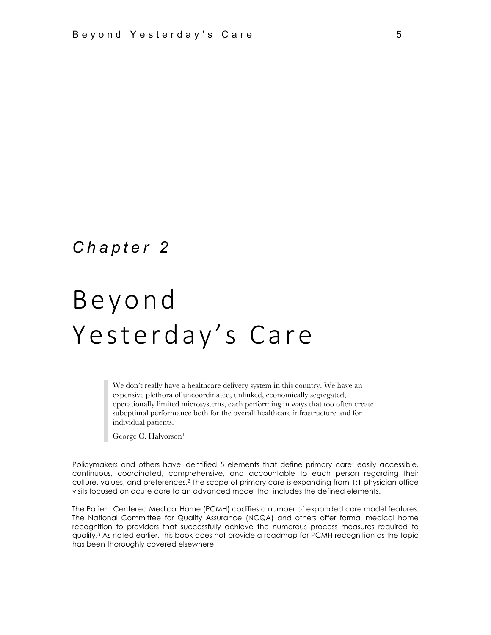# *Chapter 2*

# Beyond Yesterday's Care

We don't really have a healthcare delivery system in this country. We have an expensive plethora of uncoordinated, unlinked, economically segregated, operationally limited microsystems, each performing in ways that too often create suboptimal performance both for the overall healthcare infrastructure and for individual patients.

George C. Halvorson1

Policymakers and others have identified 5 elements that define primary care: easily accessible, continuous, coordinated, comprehensive, and accountable to each person regarding their culture, values, and preferences.2 The scope of primary care is expanding from 1:1 physician office visits focused on acute care to an advanced model that includes the defined elements.

The Patient Centered Medical Home (PCMH) codifies a number of expanded care model features. The National Committee for Quality Assurance (NCQA) and others offer formal medical home recognition to providers that successfully achieve the numerous process measures required to qualify.3 As noted earlier, this book does not provide a roadmap for PCMH recognition as the topic has been thoroughly covered elsewhere.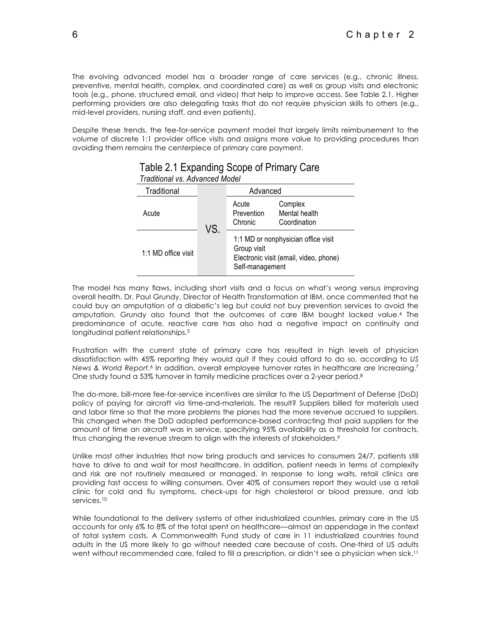The evolving advanced model has a broader range of care services (e.g., chronic illness, preventive, mental health, complex, and coordinated care) as well as group visits and electronic tools (e.g., phone, structured email, and video) that help to improve access. See Table 2.1. Higher performing providers are also delegating tasks that do not require physician skills to others (e.g., mid-level providers, nursing staff, and even patients).

Despite these trends, the fee-for-service payment model that largely limits reimbursement to the volume of discrete 1:1 provider office visits and assigns more value to providing procedures than avoiding them remains the centerpiece of primary care payment.

| Haulilohai vo. Auvahutu Mouth |     |                                                                                                                 |                                          |  |  |
|-------------------------------|-----|-----------------------------------------------------------------------------------------------------------------|------------------------------------------|--|--|
| Traditional                   |     | Advanced                                                                                                        |                                          |  |  |
| Acute                         | VS. | Acute<br>Prevention<br>Chronic                                                                                  | Complex<br>Mental health<br>Coordination |  |  |
| 1:1 MD office visit           |     | 1:1 MD or nonphysician office visit<br>Group visit<br>Electronic visit (email, video, phone)<br>Self-management |                                          |  |  |

#### Table 2.1 Expanding Scope of Primary Care *Traditional vs. Advanced Model*

The model has many flaws, including short visits and a focus on what's wrong versus improving overall health. Dr. Paul Grundy, Director of Health Transformation at IBM, once commented that he could buy an amputation of a diabetic's leg but could not buy prevention services to avoid the amputation. Grundy also found that the outcomes of care IBM bought lacked value.4 The predominance of acute, reactive care has also had a negative impact on continuity and longitudinal patient relationships.5

Frustration with the current state of primary care has resulted in high levels of physician dissatisfaction with 45% reporting they would quit if they could afford to do so, according to *US News & World Report*.6 In addition, overall employee turnover rates in healthcare are increasing.7 One study found a 53% turnover in family medicine practices over a 2-year period.8

The do-more, bill-more fee-for-service incentives are similar to the US Department of Defense (DoD) policy of paying for aircraft via time-and-materials. The result? Suppliers billed for materials used and labor time so that the more problems the planes had the more revenue accrued to suppliers. This changed when the DoD adopted performance-based contracting that paid suppliers for the amount of time an aircraft was in service, specifying 95% availability as a threshold for contracts, thus changing the revenue stream to align with the interests of stakeholders.<sup>9</sup>

Unlike most other industries that now bring products and services to consumers 24/7, patients still have to drive to and wait for most healthcare. In addition, patient needs in terms of complexity and risk are not routinely measured or managed. In response to long waits, retail clinics are providing fast access to willing consumers. Over 40% of consumers report they would use a retail clinic for cold and flu symptoms, check-ups for high cholesterol or blood pressure, and lab services.<sup>10</sup>

While foundational to the delivery systems of other industrialized countries, primary care in the US accounts for only 6% to 8% of the total spent on healthcare—almost an appendage in the context of total system costs. A Commonwealth Fund study of care in 11 industrialized countries found adults in the US more likely to go without needed care because of costs. One-third of US adults went without recommended care, failed to fill a prescription, or didn't see a physician when sick.<sup>11</sup>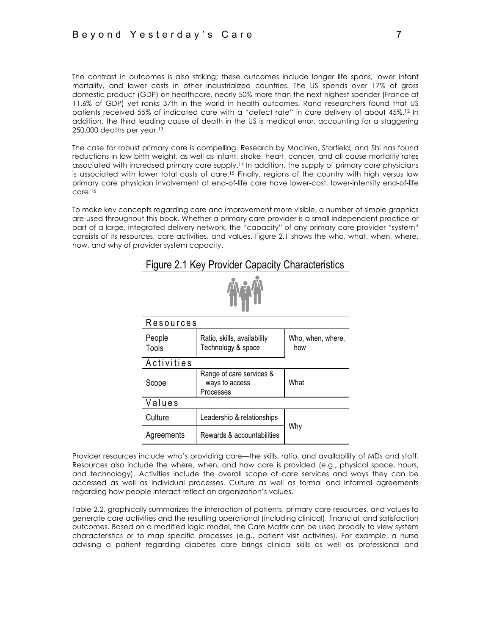The contrast in outcomes is also striking; these outcomes include longer life spans, lower infant mortality, and lower costs in other industrialized countries. The US spends over 17% of gross domestic product (GDP) on healthcare, nearly 50% more than the next-highest spender (France at 11.6% of GDP) yet ranks 37th in the world in health outcomes. Rand researchers found that US patients received 55% of indicated care with a "defect rate" in care delivery of about 45%.12 In addition, the third leading cause of death in the US is medical error, accounting for a staggering 250,000 deaths per year.13

The case for robust primary care is compelling. Research by Macinko, Starfield, and Shi has found reductions in low birth weight, as well as infant, stroke, heart, cancer, and all cause mortality rates associated with increased primary care supply.14 In addition, the supply of primary care physicians is associated with lower total costs of care.<sup>15</sup> Finally, regions of the country with high versus low primary care physician involvement at end-of-life care have lower-cost, lower-intensity end-of-life care.16

To make key concepts regarding care and improvement more visible, a number of simple graphics are used throughout this book. Whether a primary care provider is a small independent practice or part of a large, integrated delivery network, the "capacity" of any primary care provider "system" consists of its resources, care activities, and values. Figure 2.1 shows the who, what, when, where, how, and why of provider system capacity.

Figure 2.1 Key Provider Capacity Characteristics

| Resources       |                                                         |                          |  |  |
|-----------------|---------------------------------------------------------|--------------------------|--|--|
| People<br>Tools | Ratio, skills, availability<br>Technology & space       | Who, when, where,<br>how |  |  |
| Activities      |                                                         |                          |  |  |
| Scope           | Range of care services &<br>ways to access<br>Processes | What                     |  |  |
| Values          |                                                         |                          |  |  |
| Culture         | Leadership & relationships                              |                          |  |  |
| Agreements      | Rewards & accountabilities                              | Why                      |  |  |

Provider resources include who's providing care—the skills, ratio, and availability of MDs and staff. Resources also include the where, when, and how care is provided (e.g., physical space, hours, and technology). Activities include the overall scope of care services and ways they can be accessed as well as individual processes. Culture as well as formal and informal agreements regarding how people interact reflect an organization's values.

Table 2.2, graphically summarizes the interaction of patients, primary care resources, and values to generate care activities and the resulting operational (including clinical), financial, and satisfaction outcomes. Based on a modified logic model, the Care Matrix can be used broadly to view system characteristics or to map specific processes (e.g., patient visit activities). For example, a nurse advising a patient regarding diabetes care brings clinical skills as well as professional and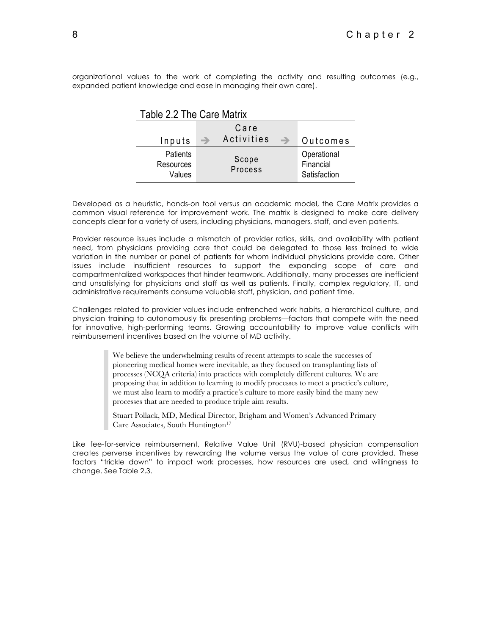organizational values to the work of completing the activity and resulting outcomes (e.g., expanded patient knowledge and ease in managing their own care).

| Table 2.2 The Care Matrix       |   |                  |               |                                          |
|---------------------------------|---|------------------|---------------|------------------------------------------|
|                                 |   | Care             |               |                                          |
| Inputs                          | → | Activities       | $\rightarrow$ | Outcomes                                 |
| Patients<br>Resources<br>Values |   | Scope<br>Process |               | Operational<br>Financial<br>Satisfaction |

Table 2.2 The Care Matrix

Developed as a heuristic, hands-on tool versus an academic model, the Care Matrix provides a common visual reference for improvement work. The matrix is designed to make care delivery concepts clear for a variety of users, including physicians, managers, staff, and even patients.

Provider resource issues include a mismatch of provider ratios, skills, and availability with patient need, from physicians providing care that could be delegated to those less trained to wide variation in the number or panel of patients for whom individual physicians provide care. Other issues include insufficient resources to support the expanding scope of care and compartmentalized workspaces that hinder teamwork. Additionally, many processes are inefficient and unsatisfying for physicians and staff as well as patients. Finally, complex regulatory, IT, and administrative requirements consume valuable staff, physician, and patient time.

Challenges related to provider values include entrenched work habits, a hierarchical culture, and physician training to autonomously fix presenting problems—factors that compete with the need for innovative, high-performing teams. Growing accountability to improve value conflicts with reimbursement incentives based on the volume of MD activity.

> We believe the underwhelming results of recent attempts to scale the successes of pioneering medical homes were inevitable, as they focused on transplanting lists of processes (NCQA criteria) into practices with completely different cultures. We are proposing that in addition to learning to modify processes to meet a practice's culture, we must also learn to modify a practice's culture to more easily bind the many new processes that are needed to produce triple aim results.

Stuart Pollack, MD, Medical Director, Brigham and Women's Advanced Primary Care Associates, South Huntington<sup>17</sup>

Like fee-for-service reimbursement, Relative Value Unit (RVU)-based physician compensation creates perverse incentives by rewarding the volume versus the value of care provided. These factors "trickle down" to impact work processes, how resources are used, and willingness to change. See Table 2.3.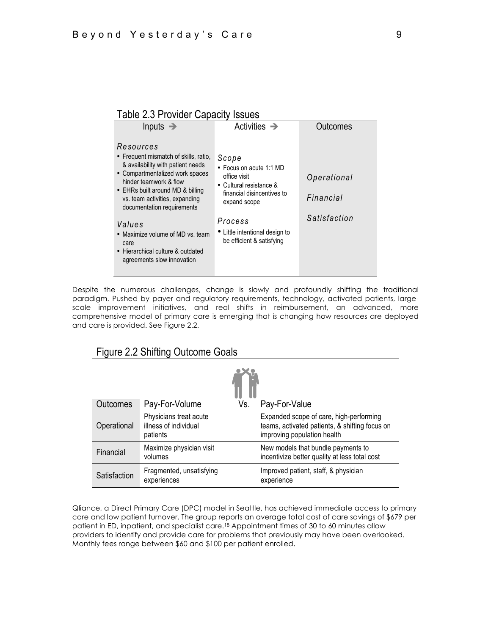### Table 2.3 Provider Capacity Issues

| Inputs $\rightarrow$                                                                                                                                                                                                                                                                                                                                                              | Activities $\rightarrow$                                                                                                                                                                            | Outcomes                                 |
|-----------------------------------------------------------------------------------------------------------------------------------------------------------------------------------------------------------------------------------------------------------------------------------------------------------------------------------------------------------------------------------|-----------------------------------------------------------------------------------------------------------------------------------------------------------------------------------------------------|------------------------------------------|
| Resources<br>• Frequent mismatch of skills, ratio,<br>& availability with patient needs<br>• Compartmentalized work spaces<br>hinder teamwork & flow<br>• EHRs built around MD & billing<br>vs. team activities, expanding<br>documentation requirements<br>Values<br>• Maximize volume of MD vs. team<br>care<br>• Hierarchical culture & outdated<br>agreements slow innovation | Scope<br>• Focus on acute 1:1 MD<br>office visit<br>• Cultural resistance &<br>financial disincentives to<br>expand scope<br>Process<br>• Little intentional design to<br>be efficient & satisfying | Operational<br>Financial<br>Satisfaction |

Despite the numerous challenges, change is slowly and profoundly shifting the traditional paradigm. Pushed by payer and regulatory requirements, technology, activated patients, largescale improvement initiatives, and real shifts in reimbursement, an advanced, more comprehensive model of primary care is emerging that is changing how resources are deployed and care is provided. See Figure 2.2.

## Figure 2.2 Shifting Outcome Goals

| <b>Outcomes</b> | Pay-For-Volume                                              | Vs. | Pay-For-Value                                                                                                            |  |
|-----------------|-------------------------------------------------------------|-----|--------------------------------------------------------------------------------------------------------------------------|--|
| Operational     | Physicians treat acute<br>illness of individual<br>patients |     | Expanded scope of care, high-performing<br>teams, activated patients, & shifting focus on<br>improving population health |  |
| Financial       | Maximize physician visit<br>volumes                         |     | New models that bundle payments to<br>incentivize better quality at less total cost                                      |  |
| Satisfaction    | Fragmented, unsatisfying<br>experiences                     |     | Improved patient, staff, & physician<br>experience                                                                       |  |

Qliance, a Direct Primary Care (DPC) model in Seattle, has achieved immediate access to primary care and low patient turnover. The group reports an average total cost of care savings of \$679 per patient in ED, inpatient, and specialist care.18 Appointment times of 30 to 60 minutes allow providers to identify and provide care for problems that previously may have been overlooked. Monthly fees range between \$60 and \$100 per patient enrolled.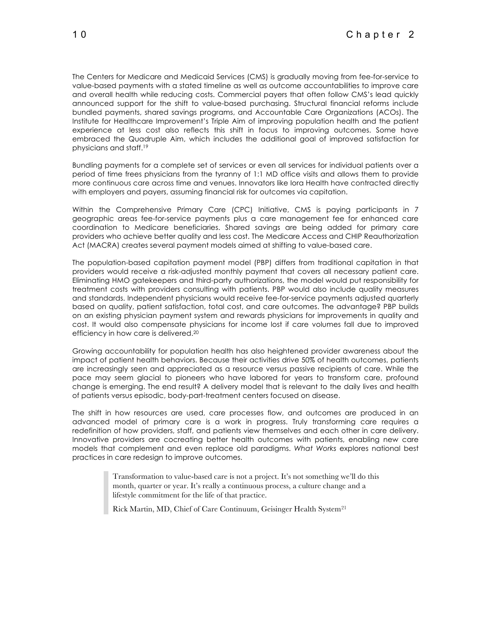The Centers for Medicare and Medicaid Services (CMS) is gradually moving from fee-for-service to value-based payments with a stated timeline as well as outcome accountabilities to improve care and overall health while reducing costs. Commercial payers that often follow CMS's lead quickly announced support for the shift to value-based purchasing. Structural financial reforms include bundled payments, shared savings programs, and Accountable Care Organizations (ACOs). The Institute for Healthcare Improvement's Triple Aim of improving population health and the patient experience at less cost also reflects this shift in focus to improving outcomes. Some have embraced the Quadruple Aim, which includes the additional goal of improved satisfaction for physicians and staff.19

Bundling payments for a complete set of services or even all services for individual patients over a period of time frees physicians from the tyranny of 1:1 MD office visits and allows them to provide more continuous care across time and venues. Innovators like Iora Health have contracted directly with employers and payers, assuming financial risk for outcomes via capitation.

Within the Comprehensive Primary Care (CPC) Initiative, CMS is paying participants in 7 geographic areas fee-for-service payments plus a care management fee for enhanced care coordination to Medicare beneficiaries. Shared savings are being added for primary care providers who achieve better quality and less cost. The Medicare Access and CHIP Reauthorization Act (MACRA) creates several payment models aimed at shifting to value-based care.

The population-based capitation payment model (PBP) differs from traditional capitation in that providers would receive a risk-adjusted monthly payment that covers all necessary patient care. Eliminating HMO gatekeepers and third-party authorizations, the model would put responsibility for treatment costs with providers consulting with patients. PBP would also include quality measures and standards. Independent physicians would receive fee-for-service payments adjusted quarterly based on quality, patient satisfaction, total cost, and care outcomes. The advantage? PBP builds on an existing physician payment system and rewards physicians for improvements in quality and cost. It would also compensate physicians for income lost if care volumes fall due to improved efficiency in how care is delivered.20

Growing accountability for population health has also heightened provider awareness about the impact of patient health behaviors. Because their activities drive 50% of health outcomes, patients are increasingly seen and appreciated as a resource versus passive recipients of care. While the pace may seem glacial to pioneers who have labored for years to transform care, profound change is emerging. The end result? A delivery model that is relevant to the daily lives and health of patients versus episodic, body-part-treatment centers focused on disease.

The shift in how resources are used, care processes flow, and outcomes are produced in an advanced model of primary care is a work in progress. Truly transforming care requires a redefinition of how providers, staff, and patients view themselves and each other in care delivery. Innovative providers are cocreating better health outcomes with patients, enabling new care models that complement and even replace old paradigms. *What Works* explores national best practices in care redesign to improve outcomes.

> Transformation to value-based care is not a project. It's not something we'll do this month, quarter or year. It's really a continuous process, a culture change and a lifestyle commitment for the life of that practice.

Rick Martin, MD, Chief of Care Continuum, Geisinger Health System21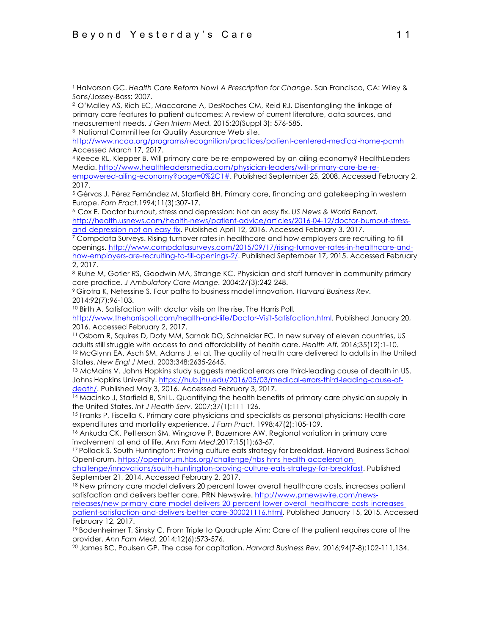<sup>3</sup> National Committee for Quality Assurance Web site.

<sup>4</sup> Reece RL, Klepper B. Will primary care be re-empowered by an ailing economy? HealthLeaders Media. http://www.healthleadersmedia.com/physician-leaders/will-primary-care-be-re-

<sup>6</sup> Cox E. Doctor burnout, stress and depression: Not an easy fix. *US News & World Report.*  http://health.usnews.com/health-news/patient-advice/articles/2016-04-12/doctor-burnout-stressand-depression-not-an-easy-fix. Published April 12, 2016. Accessed February 3, 2017.

<sup>7</sup> Compdata Surveys. Rising turnover rates in healthcare and how employers are recruiting to fill openings. http://www.compdatasurveys.com/2015/09/17/rising-turnover-rates-in-healthcare-andhow-employers-are-recruiting-to-fill-openings-2/. Published September 17, 2015. Accessed February 2, 2017.

8 Ruhe M, Gotler RS, Goodwin MA, Strange KC. Physician and staff turnover in community primary care practice. *J Ambulatory Care Mange.* 2004;27(3):242-248.

<sup>9</sup> Girotra K, Netessine S. Four paths to business model innovation. *Harvard Business Rev.*  2014;92(7):96-103.

<sup>10</sup> Birth A. Satisfaction with doctor visits on the rise. The Harris Poll.

http://www.theharrispoll.com/health-and-life/Doctor-Visit-Satisfaction.html. Published January 20, 2016. Accessed February 2, 2017.

<sup>11</sup> Osborn R, Squires D, Doty MM, Sarnak DO, Schneider EC. In new survey of eleven countries, US adults still struggle with access to and affordability of health care. *Health Aff.* 2016;35(12):1-10. <sup>12</sup> McGlynn EA, Asch SM, Adams J, et al. The quality of health care delivered to adults in the United States. *New Engl J Med.* 2003;348:2635-2645.

<sup>13</sup> McMains V. Johns Hopkins study suggests medical errors are third-leading cause of death in US. Johns Hopkins University. https://hub.jhu.edu/2016/05/03/medical-errors-third-leading-cause-ofdeath/. Published May 3, 2016. Accessed February 3, 2017.

<sup>14</sup> Macinko J, Starfield B, Shi L. Quantifying the health benefits of primary care physician supply in the United States. *Int J Health Serv. 2007;37(1):111-126.*<br><sup>15</sup> Franks P, Fiscella K. Primary care physicians and specialists as personal physicians: Health care

expenditures and mortality experience. *J Fam Pract*. 1998;47(2):105-109.

<sup>16</sup> Ankuda CK, Petterson SM, Wingrove P, Bazemore AW. Regional variation in primary care involvement at end of life. *Ann Fam Med*.2017;15(1):63-67.

<sup>17</sup> Pollack S. South Huntington: Proving culture eats strategy for breakfast. Harvard Business School OpenForum. https://openforum.hbs.org/challenge/hbs-hms-health-acceleration-

challenge/innovations/south-huntington-proving-culture-eats-strategy-for-breakfast. Published September 21, 2014. Accessed February 2, 2017.

18 New primary care model delivers 20 percent lower overall healthcare costs, increases patient satisfaction and delivers better care. PRN Newswire. http://www.prnewswire.com/newsreleases/new-primary-care-model-delivers-20-percent-lower-overall-healthcare-costs-increasespatient-satisfaction-and-delivers-better-care-300021116.html. Published January 15, 2015. Accessed February 12, 2017.

<sup>19</sup> Bodenheimer T, Sinsky C. From Triple to Quadruple Aim: Care of the patient requires care of the provider. *Ann Fam Med.* 2014;12(6):573-576.

<sup>20</sup> James BC, Poulsen GP. The case for capitation. *Harvard Business Rev.* 2016;94(7-8):102-111,134.

<sup>&</sup>lt;u>.</u> <sup>1</sup> Halvorson GC. *Health Care Reform Now! A Prescription for Change*. San Francisco, CA: Wiley & Sons/Jossey-Bass; 2007.

<sup>2</sup> O'Malley AS, Rich EC, Maccarone A, DesRoches CM, Reid RJ. Disentangling the linkage of primary care features to patient outcomes: A review of current literature, data sources, and measurement needs. *J Gen Intern Med.* 2015;20(Suppl 3): 576-585.

http://www.ncqa.org/programs/recognition/practices/patient-centered-medical-home-pcmh Accessed March 17, 2017.

empowered-ailing-economy?page=0%2C1#. Published September 25, 2008. Accessed February 2, 2017.

<sup>5</sup> Gérvas J, Pérez Fernández M, Starfield BH. Primary care, financing and gatekeeping in western Europe. *Fam Pract*.1994;11(3):307-17.